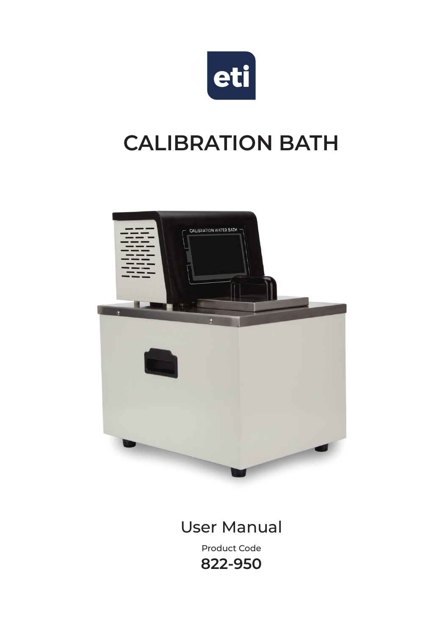

# **CALIBRATION BATH**



#### User Manual

Product Code **822-950**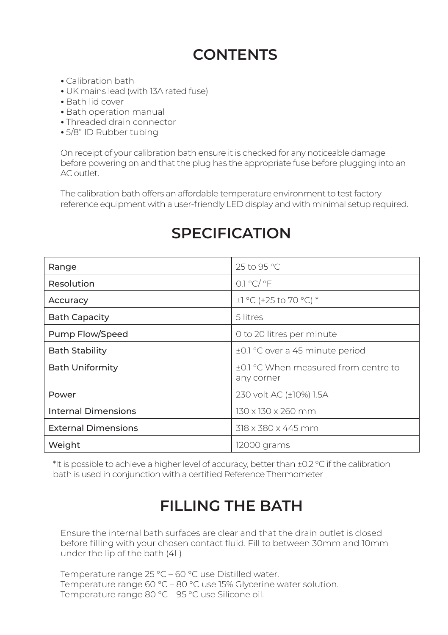### **CONTENTS**

- Calibration bath
- UK mains lead (with 13A rated fuse)
- Bath lid cover
- Bath operation manual
- Threaded drain connector
- 5/8" ID Rubber tubing

On receipt of your calibration bath ensure it is checked for any noticeable damage before powering on and that the plug has the appropriate fuse before plugging into an AC outlet.

The calibration bath offers an affordable temperature environment to test factory reference equipment with a user-friendly LED display and with minimal setup required.

| Range                      | 25 to 95 °C                                        |
|----------------------------|----------------------------------------------------|
| Resolution                 | 0.1 °C/ °F                                         |
| Accuracy                   | $\pm$ ] °C (+25 to 70 °C) *                        |
| <b>Bath Capacity</b>       | 5 litres                                           |
| Pump Flow/Speed            | 0 to 20 litres per minute                          |
| <b>Bath Stability</b>      | ±0.1 °C over a 45 minute period                    |
| <b>Bath Uniformity</b>     | +0.1 °C When measured from centre to<br>any corner |
| Power                      | 230 volt AC (±10%) 1.5A                            |
| Internal Dimensions        | 130 x 130 x 260 mm                                 |
| <b>External Dimensions</b> | 318 x 380 x 445 mm                                 |
| Weight                     | 12000 grams                                        |

#### **SPECIFICATION**

\*It is possible to achieve a higher level of accuracy, better than ±0.2 °C if the calibration bath is used in conjunction with a certified Reference Thermometer

#### **FILLING THE BATH**

Ensure the internal bath surfaces are clear and that the drain outlet is closed before filling with your chosen contact fluid. Fill to between 30mm and 10mm under the lip of the bath (4L)

Temperature range 25 °C – 60 °C use Distilled water. Temperature range 60 °C – 80 °C use 15% Glycerine water solution. Temperature range 80 °C – 95 °C use Silicone oil.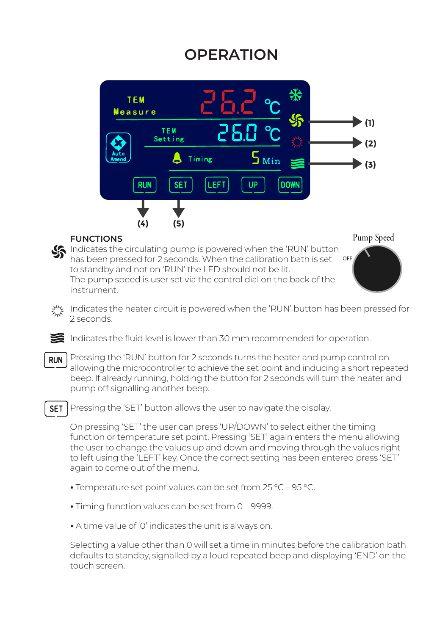#### **OPERATION**





**FUNCTIONS**

**FUNCTIONS**<br>Indicates the circulating pump is powered when the 'RUN' button has been pressed for 2 seconds. When the calibration bath is set to standby and not on 'RUN' the LED should not be lit. The pump speed is user set via the control dial on the back of the instrument. OFF

Pump Speed

Indicates the heater circuit is powered when the 'RUN' button has been pressed for 2 seconds.

Indicates the fluid level is lower than 30 mm recommended for operation.

Pressing the 'RUN' button for 2 seconds turns the heater and pump control on **RUN** allowing the microcontroller to achieve the set point and inducing a short repeated beep. If already running, holding the button for 2 seconds will turn the heater and pump off signalling another beep.

**SET** Pressing the 'SET' button allows the user to navigate the display.

On pressing 'SET' the user can press 'UP/DOWN' to select either the timing function or temperature set point. Pressing 'SET' again enters the menu allowing the user to change the values up and down and moving through the values right to left using the 'LEFT' key. Once the correct setting has been entered press 'SET' again to come out of the menu.

- Temperature set point values can be set from 25 °C 95 °C.
- Timing function values can be set from 0 9999.
- A time value of '0' indicates the unit is always on.

Selecting a value other than 0 will set a time in minutes before the calibration bath defaults to standby, signalled by a loud repeated beep and displaying 'END' on the touch screen.